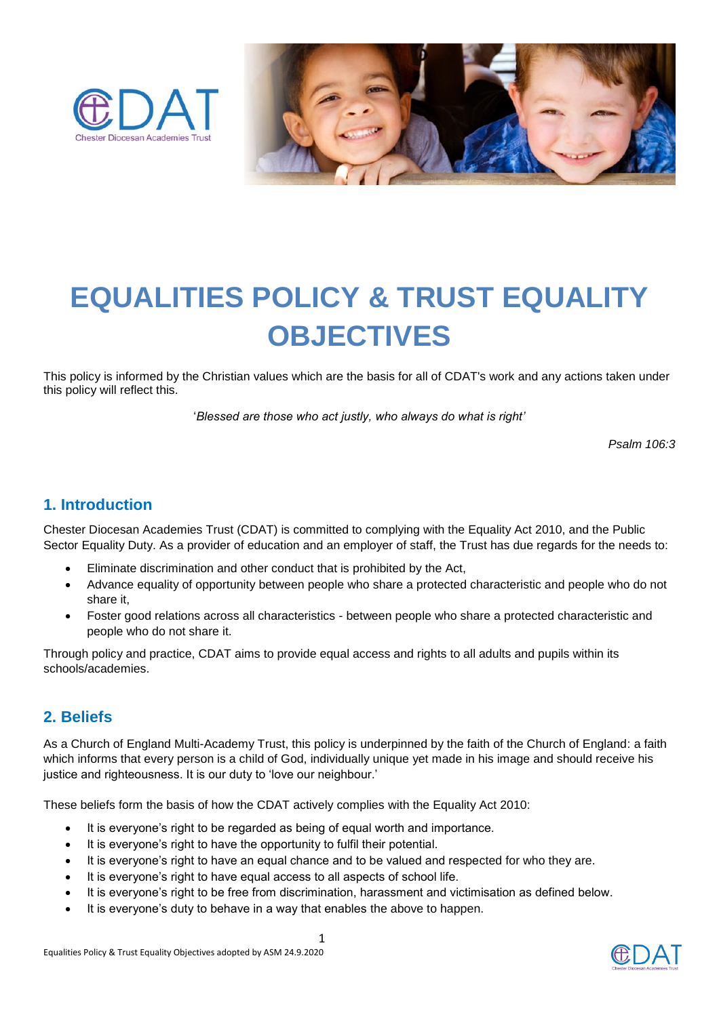



# **EQUALITIES POLICY & TRUST EQUALITY OBJECTIVES**

This policy is informed by the Christian values which are the basis for all of CDAT's work and any actions taken under this policy will reflect this.

'*Blessed are those who act justly, who always do what is right'* 

*Psalm 106:3*

#### **1. Introduction**

Chester Diocesan Academies Trust (CDAT) is committed to complying with the Equality Act 2010, and the Public Sector Equality Duty. As a provider of education and an employer of staff, the Trust has due regards for the needs to:

- Eliminate discrimination and other conduct that is prohibited by the Act,
- Advance equality of opportunity between people who share a protected characteristic and people who do not share it,
- Foster good relations across all characteristics between people who share a protected characteristic and people who do not share it.

Through policy and practice, CDAT aims to provide equal access and rights to all adults and pupils within its schools/academies.

## **2. Beliefs**

As a Church of England Multi-Academy Trust, this policy is underpinned by the faith of the Church of England: a faith which informs that every person is a child of God, individually unique yet made in his image and should receive his justice and righteousness. It is our duty to 'love our neighbour.'

These beliefs form the basis of how the CDAT actively complies with the Equality Act 2010:

- It is everyone's right to be regarded as being of equal worth and importance.
- It is everyone's right to have the opportunity to fulfil their potential.
- It is everyone's right to have an equal chance and to be valued and respected for who they are.
- It is everyone's right to have equal access to all aspects of school life.
- It is everyone's right to be free from discrimination, harassment and victimisation as defined below.
- It is everyone's duty to behave in a way that enables the above to happen.

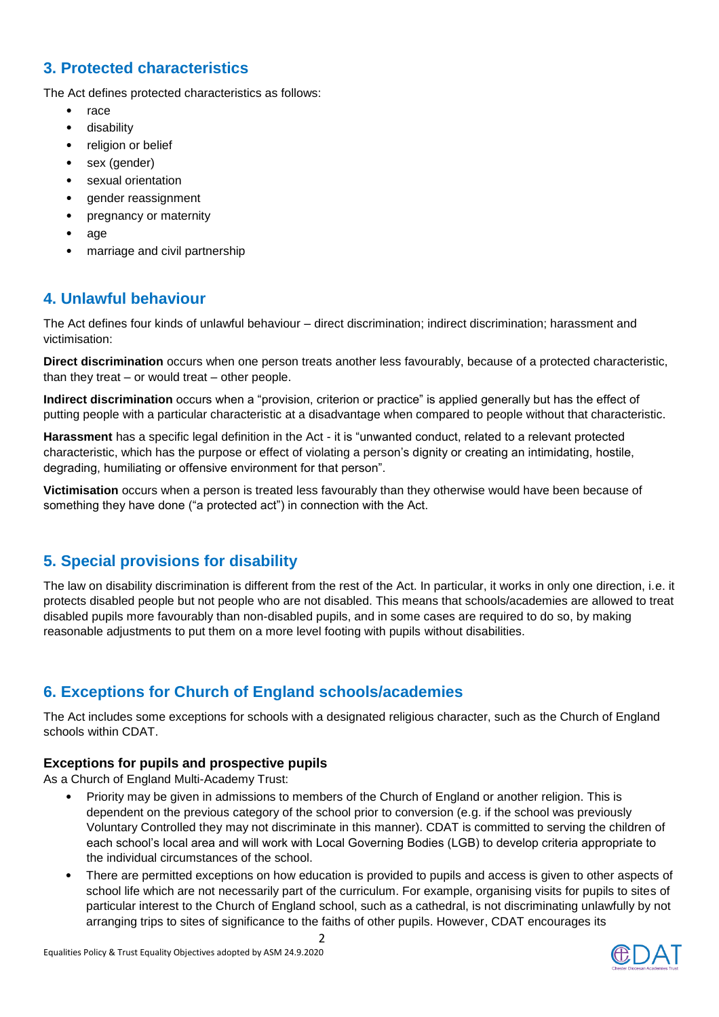# **3. Protected characteristics**

The Act defines protected characteristics as follows:

- race
- disability
- religion or belief
- sex (gender)
- sexual orientation
- gender reassignment
- pregnancy or maternity
- age
- marriage and civil partnership

## **4. Unlawful behaviour**

The Act defines four kinds of unlawful behaviour – direct discrimination; indirect discrimination; harassment and victimisation:

**Direct discrimination** occurs when one person treats another less favourably, because of a protected characteristic, than they treat – or would treat – other people.

**Indirect discrimination** occurs when a "provision, criterion or practice" is applied generally but has the effect of putting people with a particular characteristic at a disadvantage when compared to people without that characteristic.

**Harassment** has a specific legal definition in the Act - it is "unwanted conduct, related to a relevant protected characteristic, which has the purpose or effect of violating a person's dignity or creating an intimidating, hostile, degrading, humiliating or offensive environment for that person".

**Victimisation** occurs when a person is treated less favourably than they otherwise would have been because of something they have done ("a protected act") in connection with the Act.

# **5. Special provisions for disability**

The law on disability discrimination is different from the rest of the Act. In particular, it works in only one direction, i.e. it protects disabled people but not people who are not disabled. This means that schools/academies are allowed to treat disabled pupils more favourably than non-disabled pupils, and in some cases are required to do so, by making reasonable adjustments to put them on a more level footing with pupils without disabilities.

# **6. Exceptions for Church of England schools/academies**

The Act includes some exceptions for schools with a designated religious character, such as the Church of England schools within CDAT.

#### **Exceptions for pupils and prospective pupils**

As a Church of England Multi-Academy Trust:

- Priority may be given in admissions to members of the Church of England or another religion. This is dependent on the previous category of the school prior to conversion (e.g. if the school was previously Voluntary Controlled they may not discriminate in this manner). CDAT is committed to serving the children of each school's local area and will work with Local Governing Bodies (LGB) to develop criteria appropriate to the individual circumstances of the school.
- There are permitted exceptions on how education is provided to pupils and access is given to other aspects of school life which are not necessarily part of the curriculum. For example, organising visits for pupils to sites of particular interest to the Church of England school, such as a cathedral, is not discriminating unlawfully by not arranging trips to sites of significance to the faiths of other pupils. However, CDAT encourages its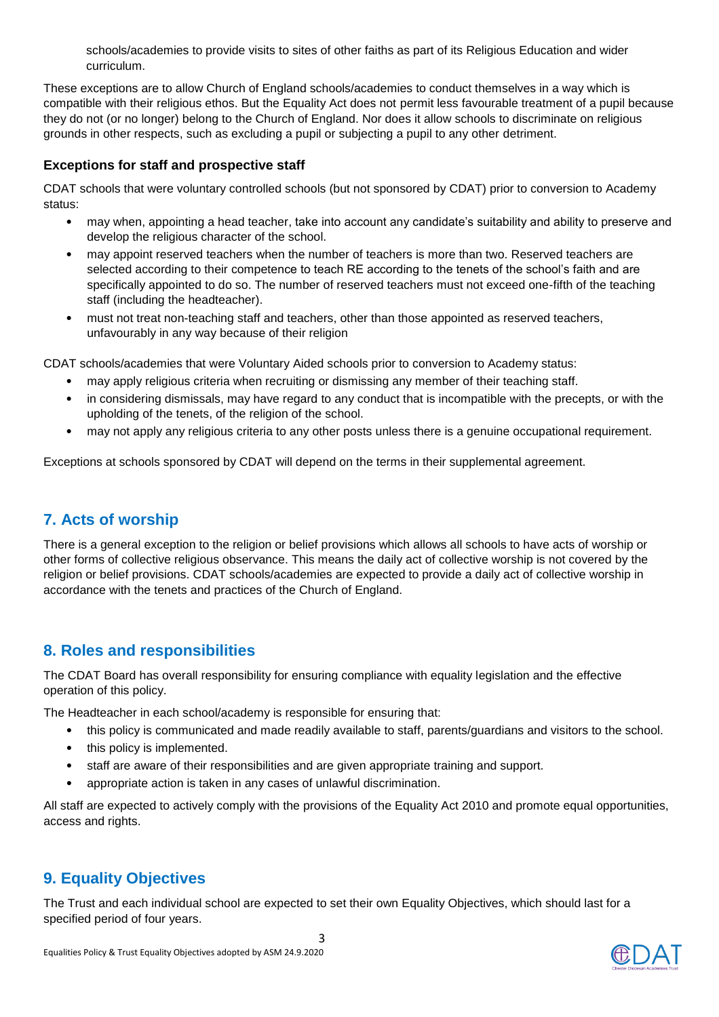schools/academies to provide visits to sites of other faiths as part of its Religious Education and wider curriculum.

These exceptions are to allow Church of England schools/academies to conduct themselves in a way which is compatible with their religious ethos. But the Equality Act does not permit less favourable treatment of a pupil because they do not (or no longer) belong to the Church of England. Nor does it allow schools to discriminate on religious grounds in other respects, such as excluding a pupil or subjecting a pupil to any other detriment.

#### **Exceptions for staff and prospective staff**

CDAT schools that were voluntary controlled schools (but not sponsored by CDAT) prior to conversion to Academy status:

- may when, appointing a head teacher, take into account any candidate's suitability and ability to preserve and develop the religious character of the school.
- may appoint reserved teachers when the number of teachers is more than two. Reserved teachers are selected according to their competence to teach RE according to the tenets of the school's faith and are specifically appointed to do so. The number of reserved teachers must not exceed one-fifth of the teaching staff (including the headteacher).
- must not treat non-teaching staff and teachers, other than those appointed as reserved teachers, unfavourably in any way because of their religion

CDAT schools/academies that were Voluntary Aided schools prior to conversion to Academy status:

- may apply religious criteria when recruiting or dismissing any member of their teaching staff.
- in considering dismissals, may have regard to any conduct that is incompatible with the precepts, or with the upholding of the tenets, of the religion of the school.
- may not apply any religious criteria to any other posts unless there is a genuine occupational requirement.

Exceptions at schools sponsored by CDAT will depend on the terms in their supplemental agreement.

# **7. Acts of worship**

There is a general exception to the religion or belief provisions which allows all schools to have acts of worship or other forms of collective religious observance. This means the daily act of collective worship is not covered by the religion or belief provisions. CDAT schools/academies are expected to provide a daily act of collective worship in accordance with the tenets and practices of the Church of England.

## **8. Roles and responsibilities**

The CDAT Board has overall responsibility for ensuring compliance with equality legislation and the effective operation of this policy.

The Headteacher in each school/academy is responsible for ensuring that:

- this policy is communicated and made readily available to staff, parents/guardians and visitors to the school.
- this policy is implemented.
- staff are aware of their responsibilities and are given appropriate training and support.
- appropriate action is taken in any cases of unlawful discrimination.

All staff are expected to actively comply with the provisions of the Equality Act 2010 and promote equal opportunities, access and rights.

# **9. Equality Objectives**

The Trust and each individual school are expected to set their own Equality Objectives, which should last for a specified period of four years.